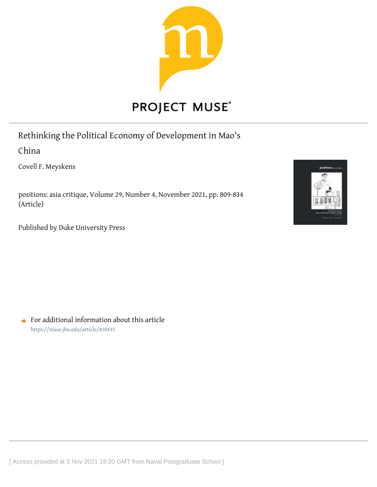

# Rethinking the Political Economy of Development in Mao's

China

Covell F. Meyskens

positions: asia critique, Volume 29, Number 4, November 2021, pp. 809-834 (Article)

Published by Duke University Press



 $\rightarrow$  For additional information about this article <https://muse.jhu.edu/article/820435>

[ Access provided at 3 Nov 2021 19:20 GMT from Naval Postgraduate School ]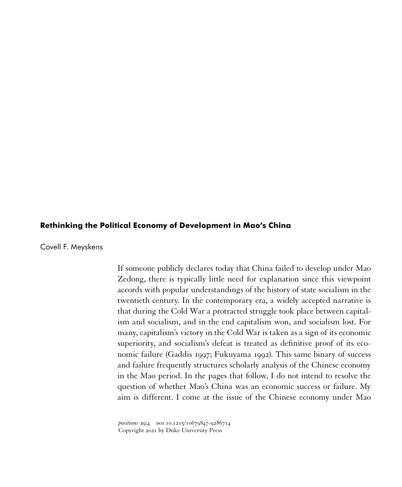## **Rethinking the Political Economy of Development in Mao's China**

Covell F. Meyskens

If someone publicly declares today that China failed to develop under Mao Zedong, there is typically little need for explanation since this viewpoint accords with popular understandings of the history of state socialism in the twentieth century. In the contemporary era, a widely accepted narrative is that during the Cold War a protracted struggle took place between capitalism and socialism, and in the end capitalism won, and socialism lost. For many, capitalism's victory in the Cold War is taken as a sign of its economic superiority, and socialism's defeat is treated as definitive proof of its economic failure (Gaddis 1997; Fukuyama 1992). This same binary of success and failure frequently structures scholarly analysis of the Chinese economy in the Mao period. In the pages that follow, I do not intend to resolve the question of whether Mao's China was an economic success or failure. My aim is different. I come at the issue of the Chinese economy under Mao

*positions* 29:4 DOI 10.1215/10679847-9286714 Copyright 2021 by Duke University Press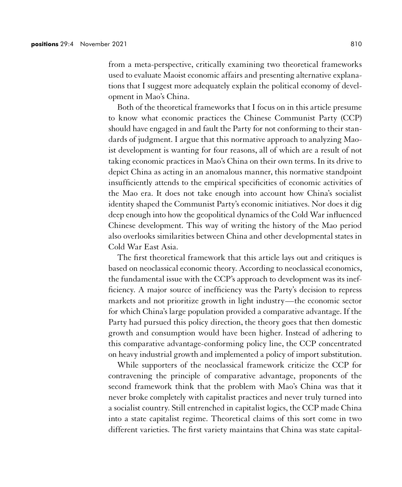from a meta-perspective, critically examining two theoretical frameworks used to evaluate Maoist economic affairs and presenting alternative explanations that I suggest more adequately explain the political economy of development in Mao's China.

Both of the theoretical frameworks that I focus on in this article presume to know what economic practices the Chinese Communist Party (CCP) should have engaged in and fault the Party for not conforming to their standards of judgment. I argue that this normative approach to analyzing Maoist development is wanting for four reasons, all of which are a result of not taking economic practices in Mao's China on their own terms. In its drive to depict China as acting in an anomalous manner, this normative standpoint insufficiently attends to the empirical specificities of economic activities of the Mao era. It does not take enough into account how China's socialist identity shaped the Communist Party's economic initiatives. Nor does it dig deep enough into how the geopolitical dynamics of the Cold War influenced Chinese development. This way of writing the history of the Mao period also overlooks similarities between China and other developmental states in Cold War East Asia.

The first theoretical framework that this article lays out and critiques is based on neoclassical economic theory. According to neoclassical economics, the fundamental issue with the CCP's approach to development was its inefficiency. A major source of inefficiency was the Party's decision to repress markets and not prioritize growth in light industry—the economic sector for which China's large population provided a comparative advantage. If the Party had pursued this policy direction, the theory goes that then domestic growth and consumption would have been higher. Instead of adhering to this comparative advantage-conforming policy line, the CCP concentrated on heavy industrial growth and implemented a policy of import substitution.

While supporters of the neoclassical framework criticize the CCP for contravening the principle of comparative advantage, proponents of the second framework think that the problem with Mao's China was that it never broke completely with capitalist practices and never truly turned into a socialist country. Still entrenched in capitalist logics, the CCP made China into a state capitalist regime. Theoretical claims of this sort come in two different varieties. The first variety maintains that China was state capital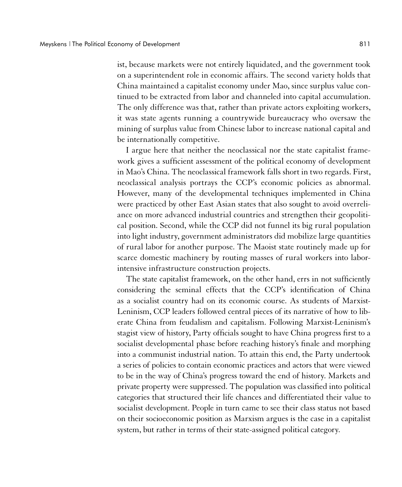ist, because markets were not entirely liquidated, and the government took on a superintendent role in economic affairs. The second variety holds that China maintained a capitalist economy under Mao, since surplus value continued to be extracted from labor and channeled into capital accumulation. The only difference was that, rather than private actors exploiting workers, it was state agents running a countrywide bureaucracy who oversaw the mining of surplus value from Chinese labor to increase national capital and be internationally competitive.

I argue here that neither the neoclassical nor the state capitalist framework gives a sufficient assessment of the political economy of development in Mao's China. The neoclassical framework falls short in two regards. First, neoclassical analysis portrays the CCP's economic policies as abnormal. However, many of the developmental techniques implemented in China were practiced by other East Asian states that also sought to avoid overreliance on more advanced industrial countries and strengthen their geopolitical position. Second, while the CCP did not funnel its big rural population into light industry, government administrators did mobilize large quantities of rural labor for another purpose. The Maoist state routinely made up for scarce domestic machinery by routing masses of rural workers into laborintensive infrastructure construction projects.

The state capitalist framework, on the other hand, errs in not sufficiently considering the seminal effects that the CCP's identification of China as a socialist country had on its economic course. As students of Marxist-Leninism, CCP leaders followed central pieces of its narrative of how to liberate China from feudalism and capitalism. Following Marxist-Leninism's stagist view of history, Party officials sought to have China progress first to a socialist developmental phase before reaching history's finale and morphing into a communist industrial nation. To attain this end, the Party undertook a series of policies to contain economic practices and actors that were viewed to be in the way of China's progress toward the end of history. Markets and private property were suppressed. The population was classified into political categories that structured their life chances and differentiated their value to socialist development. People in turn came to see their class status not based on their socioeconomic position as Marxism argues is the case in a capitalist system, but rather in terms of their state-assigned political category.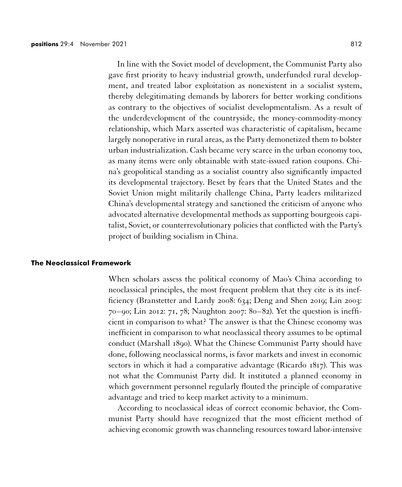In line with the Soviet model of development, the Communist Party also gave first priority to heavy industrial growth, underfunded rural development, and treated labor exploitation as nonexistent in a socialist system, thereby delegitimating demands by laborers for better working conditions as contrary to the objectives of socialist developmentalism. As a result of the underdevelopment of the countryside, the money-commodity-money relationship, which Marx asserted was characteristic of capitalism, became largely nonoperative in rural areas, as the Party demonetized them to bolster urban industrialization. Cash became very scarce in the urban economy too, as many items were only obtainable with state-issued ration coupons. China's geopolitical standing as a socialist country also significantly impacted its developmental trajectory. Beset by fears that the United States and the Soviet Union might militarily challenge China, Party leaders militarized China's developmental strategy and sanctioned the criticism of anyone who advocated alternative developmental methods as supporting bourgeois capitalist, Soviet, or counterrevolutionary policies that conflicted with the Party's project of building socialism in China.

## **The Neoclassical Framework**

When scholars assess the political economy of Mao's China according to neoclassical principles, the most frequent problem that they cite is its inefficiency (Branstetter and Lardy 2008: 634; Deng and Shen 2019; Lin 2003: 70–90; Lin 2012: 71, 78; Naughton 2007: 80–82). Yet the question is inefficient in comparison to what? The answer is that the Chinese economy was inefficient in comparison to what neoclassical theory assumes to be optimal conduct (Marshall 1890). What the Chinese Communist Party should have done, following neoclassical norms, is favor markets and invest in economic sectors in which it had a comparative advantage (Ricardo 1817). This was not what the Communist Party did. It instituted a planned economy in which government personnel regularly flouted the principle of comparative advantage and tried to keep market activity to a minimum.

According to neoclassical ideas of correct economic behavior, the Communist Party should have recognized that the most efficient method of achieving economic growth was channeling resources toward labor-intensive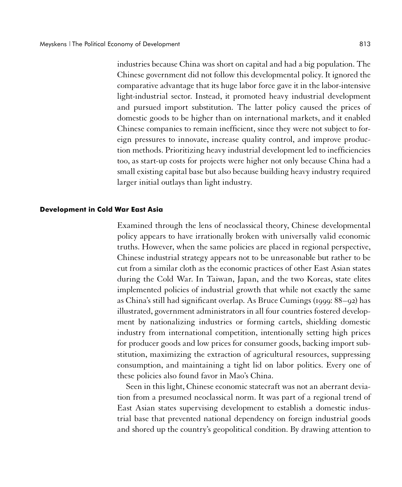industries because China was short on capital and had a big population. The Chinese government did not follow this developmental policy. It ignored the comparative advantage that its huge labor force gave it in the labor-intensive light-industrial sector. Instead, it promoted heavy industrial development and pursued import substitution. The latter policy caused the prices of domestic goods to be higher than on international markets, and it enabled Chinese companies to remain inefficient, since they were not subject to foreign pressures to innovate, increase quality control, and improve production methods. Prioritizing heavy industrial development led to inefficiencies too, as start-up costs for projects were higher not only because China had a small existing capital base but also because building heavy industry required larger initial outlays than light industry.

#### **Development in Cold War East Asia**

Examined through the lens of neoclassical theory, Chinese developmental policy appears to have irrationally broken with universally valid economic truths. However, when the same policies are placed in regional perspective, Chinese industrial strategy appears not to be unreasonable but rather to be cut from a similar cloth as the economic practices of other East Asian states during the Cold War. In Taiwan, Japan, and the two Koreas, state elites implemented policies of industrial growth that while not exactly the same as China's still had significant overlap. As Bruce Cumings (1999: 88–92) has illustrated, government administrators in all four countries fostered development by nationalizing industries or forming cartels, shielding domestic industry from international competition, intentionally setting high prices for producer goods and low prices for consumer goods, backing import substitution, maximizing the extraction of agricultural resources, suppressing consumption, and maintaining a tight lid on labor politics. Every one of these policies also found favor in Mao's China.

Seen in this light, Chinese economic statecraft was not an aberrant deviation from a presumed neoclassical norm. It was part of a regional trend of East Asian states supervising development to establish a domestic industrial base that prevented national dependency on foreign industrial goods and shored up the country's geopolitical condition. By drawing attention to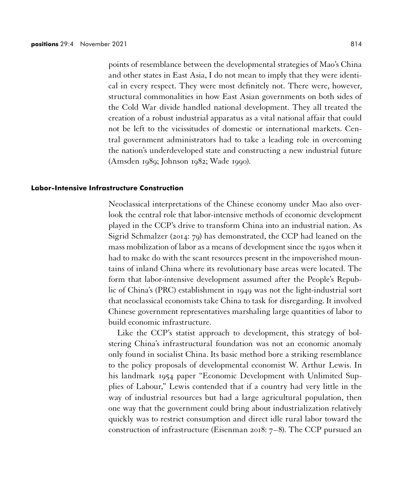points of resemblance between the developmental strategies of Mao's China and other states in East Asia, I do not mean to imply that they were identical in every respect. They were most definitely not. There were, however, structural commonalities in how East Asian governments on both sides of the Cold War divide handled national development. They all treated the creation of a robust industrial apparatus as a vital national affair that could not be left to the vicissitudes of domestic or international markets. Central government administrators had to take a leading role in overcoming the nation's underdeveloped state and constructing a new industrial future (Amsden 1989; Johnson 1982; Wade 1990).

## **Labor-Intensive Infrastructure Construction**

Neoclassical interpretations of the Chinese economy under Mao also overlook the central role that labor-intensive methods of economic development played in the CCP's drive to transform China into an industrial nation. As Sigrid Schmalzer (2014: 79) has demonstrated, the CCP had leaned on the mass mobilization of labor as a means of development since the 1930s when it had to make do with the scant resources present in the impoverished mountains of inland China where its revolutionary base areas were located. The form that labor-intensive development assumed after the People's Republic of China's (PRC) establishment in 1949 was not the light-industrial sort that neoclassical economists take China to task for disregarding. It involved Chinese government representatives marshaling large quantities of labor to build economic infrastructure.

Like the CCP's statist approach to development, this strategy of bolstering China's infrastructural foundation was not an economic anomaly only found in socialist China. Its basic method bore a striking resemblance to the policy proposals of developmental economist W. Arthur Lewis. In his landmark 1954 paper "Economic Development with Unlimited Supplies of Labour," Lewis contended that if a country had very little in the way of industrial resources but had a large agricultural population, then one way that the government could bring about industrialization relatively quickly was to restrict consumption and direct idle rural labor toward the construction of infrastructure (Eisenman 2018: 7–8). The CCP pursued an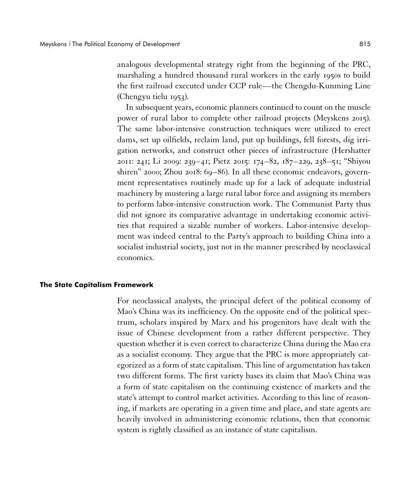analogous developmental strategy right from the beginning of the PRC, marshaling a hundred thousand rural workers in the early 1950s to build the first railroad executed under CCP rule—the Chengdu-Kunming Line (Chengyu tielu 1953).

In subsequent years, economic planners continued to count on the muscle power of rural labor to complete other railroad projects (Meyskens 2015). The same labor-intensive construction techniques were utilized to erect dams, set up oilfields, reclaim land, put up buildings, fell forests, dig irrigation networks, and construct other pieces of infrastructure (Hershatter 2011: 241; Li 2009: 239–41; Pietz 2015: 174–82, 187–229, 238–51; "Shiyou shiren" 2000; Zhou 2018: 69–86). In all these economic endeavors, government representatives routinely made up for a lack of adequate industrial machinery by mustering a large rural labor force and assigning its members to perform labor-intensive construction work. The Communist Party thus did not ignore its comparative advantage in undertaking economic activities that required a sizable number of workers. Labor-intensive development was indeed central to the Party's approach to building China into a socialist industrial society, just not in the manner prescribed by neoclassical economics.

## **The State Capitalism Framework**

For neoclassical analysts, the principal defect of the political economy of Mao's China was its inefficiency. On the opposite end of the political spectrum, scholars inspired by Marx and his progenitors have dealt with the issue of Chinese development from a rather different perspective. They question whether it is even correct to characterize China during the Mao era as a socialist economy. They argue that the PRC is more appropriately categorized as a form of state capitalism. This line of argumentation has taken two different forms. The first variety bases its claim that Mao's China was a form of state capitalism on the continuing existence of markets and the state's attempt to control market activities. According to this line of reasoning, if markets are operating in a given time and place, and state agents are heavily involved in administering economic relations, then that economic system is rightly classified as an instance of state capitalism.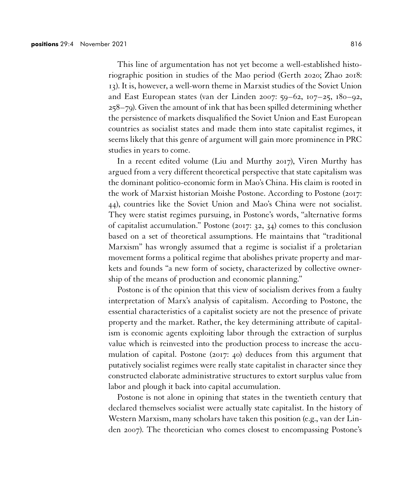This line of argumentation has not yet become a well-established historiographic position in studies of the Mao period (Gerth 2020; Zhao 2018: 13). It is, however, a well-worn theme in Marxist studies of the Soviet Union and East European states (van der Linden 2007: 59–62, 107–25, 180–92, 258–79). Given the amount of ink that has been spilled determining whether the persistence of markets disqualified the Soviet Union and East European countries as socialist states and made them into state capitalist regimes, it seems likely that this genre of argument will gain more prominence in PRC studies in years to come.

In a recent edited volume (Liu and Murthy 2017), Viren Murthy has argued from a very different theoretical perspective that state capitalism was the dominant politico-economic form in Mao's China. His claim is rooted in the work of Marxist historian Moishe Postone. According to Postone (2017: 44), countries like the Soviet Union and Mao's China were not socialist. They were statist regimes pursuing, in Postone's words, "alternative forms of capitalist accumulation." Postone (2017: 32, 34) comes to this conclusion based on a set of theoretical assumptions. He maintains that "traditional Marxism" has wrongly assumed that a regime is socialist if a proletarian movement forms a political regime that abolishes private property and markets and founds "a new form of society, characterized by collective ownership of the means of production and economic planning."

Postone is of the opinion that this view of socialism derives from a faulty interpretation of Marx's analysis of capitalism. According to Postone, the essential characteristics of a capitalist society are not the presence of private property and the market. Rather, the key determining attribute of capitalism is economic agents exploiting labor through the extraction of surplus value which is reinvested into the production process to increase the accumulation of capital. Postone (2017: 40) deduces from this argument that putatively socialist regimes were really state capitalist in character since they constructed elaborate administrative structures to extort surplus value from labor and plough it back into capital accumulation.

Postone is not alone in opining that states in the twentieth century that declared themselves socialist were actually state capitalist. In the history of Western Marxism, many scholars have taken this position (e.g., van der Linden 2007). The theoretician who comes closest to encompassing Postone's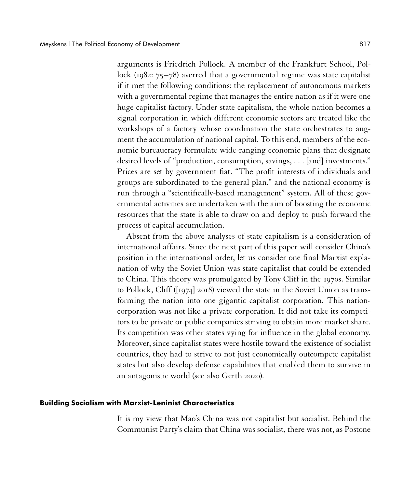arguments is Friedrich Pollock. A member of the Frankfurt School, Pollock (1982: 75–78) averred that a governmental regime was state capitalist if it met the following conditions: the replacement of autonomous markets with a governmental regime that manages the entire nation as if it were one huge capitalist factory. Under state capitalism, the whole nation becomes a signal corporation in which different economic sectors are treated like the workshops of a factory whose coordination the state orchestrates to augment the accumulation of national capital. To this end, members of the economic bureaucracy formulate wide-ranging economic plans that designate desired levels of "production, consumption, savings, . . . [and] investments." Prices are set by government fiat. "The profit interests of individuals and groups are subordinated to the general plan," and the national economy is run through a "scientifically-based management" system. All of these governmental activities are undertaken with the aim of boosting the economic resources that the state is able to draw on and deploy to push forward the process of capital accumulation.

Absent from the above analyses of state capitalism is a consideration of international affairs. Since the next part of this paper will consider China's position in the international order, let us consider one final Marxist explanation of why the Soviet Union was state capitalist that could be extended to China. This theory was promulgated by Tony Cliff in the 1970s. Similar to Pollock, Cliff ([1974] 2018) viewed the state in the Soviet Union as transforming the nation into one gigantic capitalist corporation. This nationcorporation was not like a private corporation. It did not take its competitors to be private or public companies striving to obtain more market share. Its competition was other states vying for influence in the global economy. Moreover, since capitalist states were hostile toward the existence of socialist countries, they had to strive to not just economically outcompete capitalist states but also develop defense capabilities that enabled them to survive in an antagonistic world (see also Gerth 2020).

#### **Building Socialism with Marxist-Leninist Characteristics**

It is my view that Mao's China was not capitalist but socialist. Behind the Communist Party's claim that China was socialist, there was not, as Postone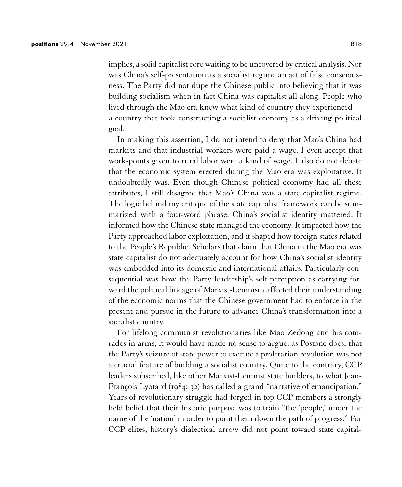implies, a solid capitalist core waiting to be uncovered by critical analysis. Nor was China's self-presentation as a socialist regime an act of false consciousness. The Party did not dupe the Chinese public into believing that it was building socialism when in fact China was capitalist all along. People who lived through the Mao era knew what kind of country they experienced a country that took constructing a socialist economy as a driving political goal.

In making this assertion, I do not intend to deny that Mao's China had markets and that industrial workers were paid a wage. I even accept that work-points given to rural labor were a kind of wage. I also do not debate that the economic system erected during the Mao era was exploitative. It undoubtedly was. Even though Chinese political economy had all these attributes, I still disagree that Mao's China was a state capitalist regime. The logic behind my critique of the state capitalist framework can be summarized with a four-word phrase: China's socialist identity mattered. It informed how the Chinese state managed the economy. It impacted how the Party approached labor exploitation, and it shaped how foreign states related to the People's Republic. Scholars that claim that China in the Mao era was state capitalist do not adequately account for how China's socialist identity was embedded into its domestic and international affairs. Particularly consequential was how the Party leadership's self-perception as carrying forward the political lineage of Marxist-Leninism affected their understanding of the economic norms that the Chinese government had to enforce in the present and pursue in the future to advance China's transformation into a socialist country.

For lifelong communist revolutionaries like Mao Zedong and his comrades in arms, it would have made no sense to argue, as Postone does, that the Party's seizure of state power to execute a proletarian revolution was not a crucial feature of building a socialist country. Quite to the contrary, CCP leaders subscribed, like other Marxist-Leninist state builders, to what Jean-François Lyotard (1984: 32) has called a grand "narrative of emancipation." Years of revolutionary struggle had forged in top CCP members a strongly held belief that their historic purpose was to train "the 'people,' under the name of the 'nation' in order to point them down the path of progress." For CCP elites, history's dialectical arrow did not point toward state capital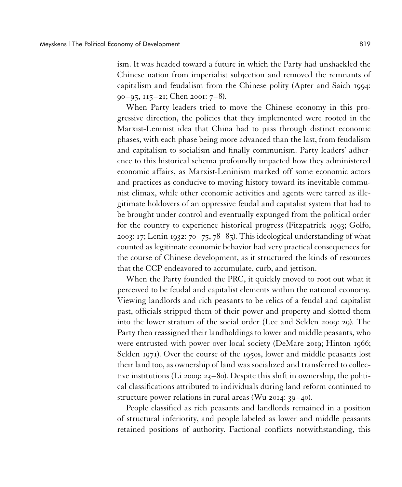ism. It was headed toward a future in which the Party had unshackled the Chinese nation from imperialist subjection and removed the remnants of capitalism and feudalism from the Chinese polity (Apter and Saich 1994: 90–95, 115–21; Chen 2001: 7–8).

When Party leaders tried to move the Chinese economy in this progressive direction, the policies that they implemented were rooted in the Marxist-Leninist idea that China had to pass through distinct economic phases, with each phase being more advanced than the last, from feudalism and capitalism to socialism and finally communism. Party leaders' adherence to this historical schema profoundly impacted how they administered economic affairs, as Marxist-Leninism marked off some economic actors and practices as conducive to moving history toward its inevitable communist climax, while other economic activities and agents were tarred as illegitimate holdovers of an oppressive feudal and capitalist system that had to be brought under control and eventually expunged from the political order for the country to experience historical progress (Fitzpatrick 1993; Golfo, 2003: 17; Lenin 1932: 70–75, 78–85). This ideological understanding of what counted as legitimate economic behavior had very practical consequences for the course of Chinese development, as it structured the kinds of resources that the CCP endeavored to accumulate, curb, and jettison.

When the Party founded the PRC, it quickly moved to root out what it perceived to be feudal and capitalist elements within the national economy. Viewing landlords and rich peasants to be relics of a feudal and capitalist past, officials stripped them of their power and property and slotted them into the lower stratum of the social order (Lee and Selden 2009: 29). The Party then reassigned their landholdings to lower and middle peasants, who were entrusted with power over local society (DeMare 2019; Hinton 1966; Selden 1971). Over the course of the 1950s, lower and middle peasants lost their land too, as ownership of land was socialized and transferred to collective institutions (Li 2009: 23–80). Despite this shift in ownership, the political classifications attributed to individuals during land reform continued to structure power relations in rural areas (Wu 2014: 39–40).

People classified as rich peasants and landlords remained in a position of structural inferiority, and people labeled as lower and middle peasants retained positions of authority. Factional conflicts notwithstanding, this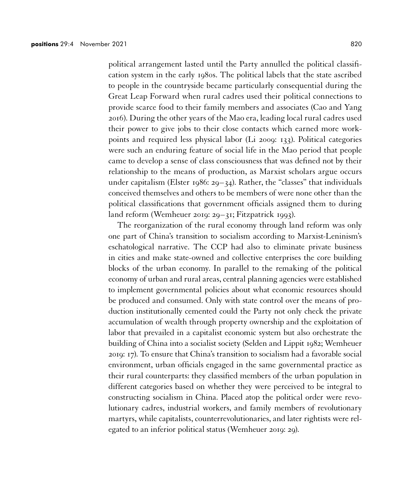political arrangement lasted until the Party annulled the political classification system in the early 1980s. The political labels that the state ascribed to people in the countryside became particularly consequential during the Great Leap Forward when rural cadres used their political connections to provide scarce food to their family members and associates (Cao and Yang 2016). During the other years of the Mao era, leading local rural cadres used their power to give jobs to their close contacts which earned more workpoints and required less physical labor (Li 2009: 133). Political categories were such an enduring feature of social life in the Mao period that people came to develop a sense of class consciousness that was defined not by their relationship to the means of production, as Marxist scholars argue occurs under capitalism (Elster 1986:  $29-34$ ). Rather, the "classes" that individuals conceived themselves and others to be members of were none other than the political classifications that government officials assigned them to during land reform (Wemheuer 2019: 29–31; Fitzpatrick 1993).

The reorganization of the rural economy through land reform was only one part of China's transition to socialism according to Marxist-Leninism's eschatological narrative. The CCP had also to eliminate private business in cities and make state-owned and collective enterprises the core building blocks of the urban economy. In parallel to the remaking of the political economy of urban and rural areas, central planning agencies were established to implement governmental policies about what economic resources should be produced and consumed. Only with state control over the means of production institutionally cemented could the Party not only check the private accumulation of wealth through property ownership and the exploitation of labor that prevailed in a capitalist economic system but also orchestrate the building of China into a socialist society (Selden and Lippit 1982; Wemheuer 2019: 17). To ensure that China's transition to socialism had a favorable social environment, urban officials engaged in the same governmental practice as their rural counterparts: they classified members of the urban population in different categories based on whether they were perceived to be integral to constructing socialism in China. Placed atop the political order were revolutionary cadres, industrial workers, and family members of revolutionary martyrs, while capitalists, counterrevolutionaries, and later rightists were relegated to an inferior political status (Wemheuer 2019: 29).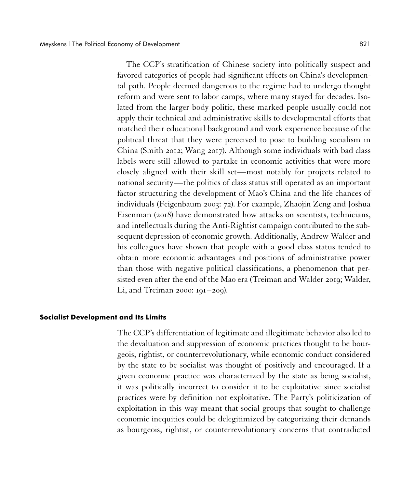The CCP's stratification of Chinese society into politically suspect and favored categories of people had significant effects on China's developmental path. People deemed dangerous to the regime had to undergo thought reform and were sent to labor camps, where many stayed for decades. Isolated from the larger body politic, these marked people usually could not apply their technical and administrative skills to developmental efforts that matched their educational background and work experience because of the political threat that they were perceived to pose to building socialism in China (Smith 2012; Wang 2017). Although some individuals with bad class labels were still allowed to partake in economic activities that were more closely aligned with their skill set—most notably for projects related to national security—the politics of class status still operated as an important factor structuring the development of Mao's China and the life chances of individuals (Feigenbaum 2003: 72). For example, Zhaojin Zeng and Joshua Eisenman (2018) have demonstrated how attacks on scientists, technicians, and intellectuals during the Anti-Rightist campaign contributed to the subsequent depression of economic growth. Additionally, Andrew Walder and his colleagues have shown that people with a good class status tended to obtain more economic advantages and positions of administrative power than those with negative political classifications, a phenomenon that persisted even after the end of the Mao era (Treiman and Walder 2019; Walder, Li, and Treiman 2000: 191–209).

## **Socialist Development and Its Limits**

The CCP's differentiation of legitimate and illegitimate behavior also led to the devaluation and suppression of economic practices thought to be bourgeois, rightist, or counterrevolutionary, while economic conduct considered by the state to be socialist was thought of positively and encouraged. If a given economic practice was characterized by the state as being socialist, it was politically incorrect to consider it to be exploitative since socialist practices were by definition not exploitative. The Party's politicization of exploitation in this way meant that social groups that sought to challenge economic inequities could be delegitimized by categorizing their demands as bourgeois, rightist, or counterrevolutionary concerns that contradicted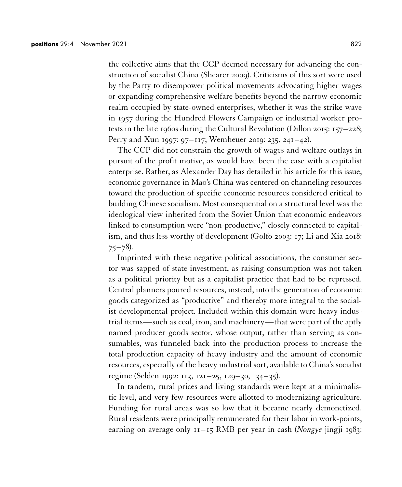the collective aims that the CCP deemed necessary for advancing the construction of socialist China (Shearer 2009). Criticisms of this sort were used by the Party to disempower political movements advocating higher wages or expanding comprehensive welfare benefits beyond the narrow economic realm occupied by state-owned enterprises, whether it was the strike wave in 1957 during the Hundred Flowers Campaign or industrial worker protests in the late 1960s during the Cultural Revolution (Dillon 2015: 157–228; Perry and Xun 1997: 97–117; Wemheuer 2019: 235, 241–42).

The CCP did not constrain the growth of wages and welfare outlays in pursuit of the profit motive, as would have been the case with a capitalist enterprise. Rather, as Alexander Day has detailed in his article for this issue, economic governance in Mao's China was centered on channeling resources toward the production of specific economic resources considered critical to building Chinese socialism. Most consequential on a structural level was the ideological view inherited from the Soviet Union that economic endeavors linked to consumption were "non-productive," closely connected to capitalism, and thus less worthy of development (Golfo 2003: 17; Li and Xia 2018:  $75 - 78$ ).

Imprinted with these negative political associations, the consumer sector was sapped of state investment, as raising consumption was not taken as a political priority but as a capitalist practice that had to be repressed. Central planners poured resources, instead, into the generation of economic goods categorized as "productive" and thereby more integral to the socialist developmental project. Included within this domain were heavy industrial items—such as coal, iron, and machinery—that were part of the aptly named producer goods sector, whose output, rather than serving as consumables, was funneled back into the production process to increase the total production capacity of heavy industry and the amount of economic resources, especially of the heavy industrial sort, available to China's socialist regime (Selden 1992: 113, 121–25, 129–30, 134–35).

In tandem, rural prices and living standards were kept at a minimalistic level, and very few resources were allotted to modernizing agriculture. Funding for rural areas was so low that it became nearly demonetized. Rural residents were principally remunerated for their labor in work-points, earning on average only 11–15 RMB per year in cash (*Nongye* jingji 1983: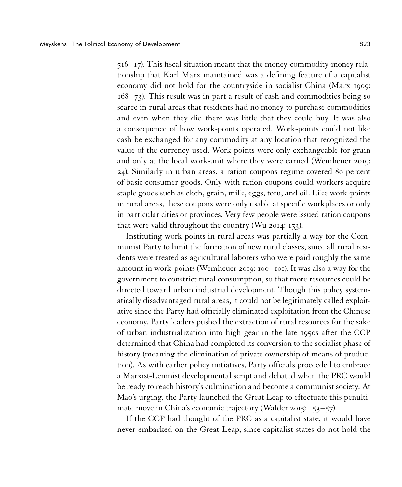516–17). This fiscal situation meant that the money-commodity-money relationship that Karl Marx maintained was a defining feature of a capitalist economy did not hold for the countryside in socialist China (Marx 1909: 168–73). This result was in part a result of cash and commodities being so scarce in rural areas that residents had no money to purchase commodities and even when they did there was little that they could buy. It was also a consequence of how work-points operated. Work-points could not like cash be exchanged for any commodity at any location that recognized the value of the currency used. Work-points were only exchangeable for grain and only at the local work-unit where they were earned (Wemheuer 2019: 24). Similarly in urban areas, a ration coupons regime covered 80 percent of basic consumer goods. Only with ration coupons could workers acquire staple goods such as cloth, grain, milk, eggs, tofu, and oil. Like work-points in rural areas, these coupons were only usable at specific workplaces or only in particular cities or provinces. Very few people were issued ration coupons that were valid throughout the country (Wu 2014: 153).

Instituting work-points in rural areas was partially a way for the Communist Party to limit the formation of new rural classes, since all rural residents were treated as agricultural laborers who were paid roughly the same amount in work-points (Wemheuer 2019: 100–101). It was also a way for the government to constrict rural consumption, so that more resources could be directed toward urban industrial development. Though this policy systematically disadvantaged rural areas, it could not be legitimately called exploitative since the Party had officially eliminated exploitation from the Chinese economy. Party leaders pushed the extraction of rural resources for the sake of urban industrialization into high gear in the late 1950s after the CCP determined that China had completed its conversion to the socialist phase of history (meaning the elimination of private ownership of means of production). As with earlier policy initiatives, Party officials proceeded to embrace a Marxist-Leninist developmental script and debated when the PRC would be ready to reach history's culmination and become a communist society. At Mao's urging, the Party launched the Great Leap to effectuate this penultimate move in China's economic trajectory (Walder 2015: 153–57).

If the CCP had thought of the PRC as a capitalist state, it would have never embarked on the Great Leap, since capitalist states do not hold the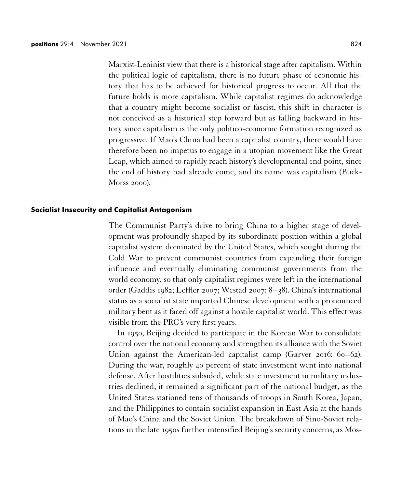Marxist-Leninist view that there is a historical stage after capitalism. Within the political logic of capitalism, there is no future phase of economic history that has to be achieved for historical progress to occur. All that the future holds is more capitalism. While capitalist regimes do acknowledge that a country might become socialist or fascist, this shift in character is not conceived as a historical step forward but as falling backward in history since capitalism is the only politico-economic formation recognized as progressive. If Mao's China had been a capitalist country, there would have therefore been no impetus to engage in a utopian movement like the Great Leap, which aimed to rapidly reach history's developmental end point, since the end of history had already come, and its name was capitalism (Buck-Morss 2000).

## **Socialist Insecurity and Capitalist Antagonism**

The Communist Party's drive to bring China to a higher stage of development was profoundly shaped by its subordinate position within a global capitalist system dominated by the United States, which sought during the Cold War to prevent communist countries from expanding their foreign influence and eventually eliminating communist governments from the world economy, so that only capitalist regimes were left in the international order (Gaddis 1982; Leffler 2007; Westad 2007: 8–38). China's international status as a socialist state imparted Chinese development with a pronounced military bent as it faced off against a hostile capitalist world. This effect was visible from the PRC's very first years.

In 1950, Beijing decided to participate in the Korean War to consolidate control over the national economy and strengthen its alliance with the Soviet Union against the American-led capitalist camp (Garver 2016: 60–62). During the war, roughly 40 percent of state investment went into national defense. After hostilities subsided, while state investment in military industries declined, it remained a significant part of the national budget, as the United States stationed tens of thousands of troops in South Korea, Japan, and the Philippines to contain socialist expansion in East Asia at the hands of Mao's China and the Soviet Union. The breakdown of Sino-Soviet relations in the late 1950s further intensified Beijing's security concerns, as Mos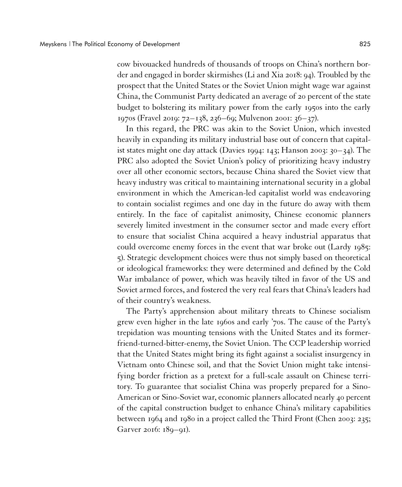cow bivouacked hundreds of thousands of troops on China's northern border and engaged in border skirmishes (Li and Xia 2018: 94). Troubled by the prospect that the United States or the Soviet Union might wage war against China, the Communist Party dedicated an average of 20 percent of the state budget to bolstering its military power from the early 1950s into the early 1970s (Fravel 2019: 72–138, 236–69; Mulvenon 2001: 36–37).

In this regard, the PRC was akin to the Soviet Union, which invested heavily in expanding its military industrial base out of concern that capitalist states might one day attack (Davies 1994: 143; Hanson 2003: 30–34). The PRC also adopted the Soviet Union's policy of prioritizing heavy industry over all other economic sectors, because China shared the Soviet view that heavy industry was critical to maintaining international security in a global environment in which the American-led capitalist world was endeavoring to contain socialist regimes and one day in the future do away with them entirely. In the face of capitalist animosity, Chinese economic planners severely limited investment in the consumer sector and made every effort to ensure that socialist China acquired a heavy industrial apparatus that could overcome enemy forces in the event that war broke out (Lardy 1985: 5). Strategic development choices were thus not simply based on theoretical or ideological frameworks: they were determined and defined by the Cold War imbalance of power, which was heavily tilted in favor of the US and Soviet armed forces, and fostered the very real fears that China's leaders had of their country's weakness.

The Party's apprehension about military threats to Chinese socialism grew even higher in the late 1960s and early '70s. The cause of the Party's trepidation was mounting tensions with the United States and its formerfriend-turned-bitter-enemy, the Soviet Union. The CCP leadership worried that the United States might bring its fight against a socialist insurgency in Vietnam onto Chinese soil, and that the Soviet Union might take intensifying border friction as a pretext for a full-scale assault on Chinese territory. To guarantee that socialist China was properly prepared for a Sino-American or Sino-Soviet war, economic planners allocated nearly 40 percent of the capital construction budget to enhance China's military capabilities between 1964 and 1980 in a project called the Third Front (Chen 2003: 235; Garver 2016: 189–91).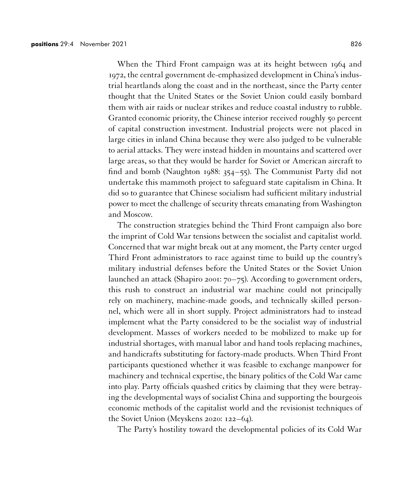When the Third Front campaign was at its height between 1964 and 1972, the central government de-emphasized development in China's industrial heartlands along the coast and in the northeast, since the Party center thought that the United States or the Soviet Union could easily bombard them with air raids or nuclear strikes and reduce coastal industry to rubble. Granted economic priority, the Chinese interior received roughly 50 percent of capital construction investment. Industrial projects were not placed in large cities in inland China because they were also judged to be vulnerable to aerial attacks. They were instead hidden in mountains and scattered over large areas, so that they would be harder for Soviet or American aircraft to find and bomb (Naughton 1988: 354–55). The Communist Party did not undertake this mammoth project to safeguard state capitalism in China. It did so to guarantee that Chinese socialism had sufficient military industrial power to meet the challenge of security threats emanating from Washington and Moscow.

The construction strategies behind the Third Front campaign also bore the imprint of Cold War tensions between the socialist and capitalist world. Concerned that war might break out at any moment, the Party center urged Third Front administrators to race against time to build up the country's military industrial defenses before the United States or the Soviet Union launched an attack (Shapiro 2001: 70–75). According to government orders, this rush to construct an industrial war machine could not principally rely on machinery, machine-made goods, and technically skilled personnel, which were all in short supply. Project administrators had to instead implement what the Party considered to be the socialist way of industrial development. Masses of workers needed to be mobilized to make up for industrial shortages, with manual labor and hand tools replacing machines, and handicrafts substituting for factory-made products. When Third Front participants questioned whether it was feasible to exchange manpower for machinery and technical expertise, the binary politics of the Cold War came into play. Party officials quashed critics by claiming that they were betraying the developmental ways of socialist China and supporting the bourgeois economic methods of the capitalist world and the revisionist techniques of the Soviet Union (Meyskens 2020: 122–64).

The Party's hostility toward the developmental policies of its Cold War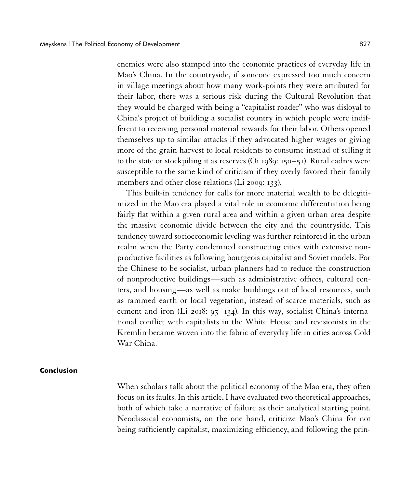enemies were also stamped into the economic practices of everyday life in Mao's China. In the countryside, if someone expressed too much concern in village meetings about how many work-points they were attributed for their labor, there was a serious risk during the Cultural Revolution that they would be charged with being a "capitalist roader" who was disloyal to China's project of building a socialist country in which people were indifferent to receiving personal material rewards for their labor. Others opened themselves up to similar attacks if they advocated higher wages or giving more of the grain harvest to local residents to consume instead of selling it to the state or stockpiling it as reserves (Oi 1989: 150–51). Rural cadres were susceptible to the same kind of criticism if they overly favored their family members and other close relations (Li 2009: 133).

This built-in tendency for calls for more material wealth to be delegitimized in the Mao era played a vital role in economic differentiation being fairly flat within a given rural area and within a given urban area despite the massive economic divide between the city and the countryside. This tendency toward socioeconomic leveling was further reinforced in the urban realm when the Party condemned constructing cities with extensive nonproductive facilities as following bourgeois capitalist and Soviet models. For the Chinese to be socialist, urban planners had to reduce the construction of nonproductive buildings—such as administrative offices, cultural centers, and housing—as well as make buildings out of local resources, such as rammed earth or local vegetation, instead of scarce materials, such as cement and iron (Li 2018:  $95-134$ ). In this way, socialist China's international conflict with capitalists in the White House and revisionists in the Kremlin became woven into the fabric of everyday life in cities across Cold War China.

#### **Conclusion**

When scholars talk about the political economy of the Mao era, they often focus on its faults. In this article, I have evaluated two theoretical approaches, both of which take a narrative of failure as their analytical starting point. Neoclassical economists, on the one hand, criticize Mao's China for not being sufficiently capitalist, maximizing efficiency, and following the prin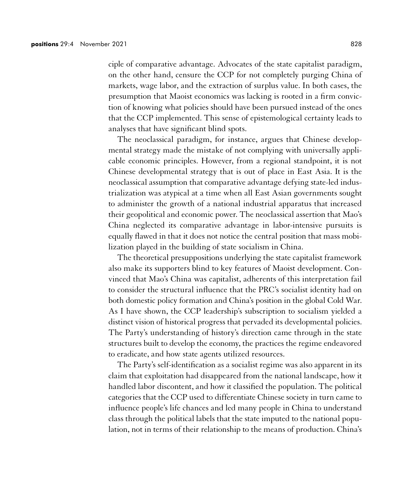ciple of comparative advantage. Advocates of the state capitalist paradigm, on the other hand, censure the CCP for not completely purging China of markets, wage labor, and the extraction of surplus value. In both cases, the presumption that Maoist economics was lacking is rooted in a firm conviction of knowing what policies should have been pursued instead of the ones that the CCP implemented. This sense of epistemological certainty leads to analyses that have significant blind spots.

The neoclassical paradigm, for instance, argues that Chinese developmental strategy made the mistake of not complying with universally applicable economic principles. However, from a regional standpoint, it is not Chinese developmental strategy that is out of place in East Asia. It is the neoclassical assumption that comparative advantage defying state-led industrialization was atypical at a time when all East Asian governments sought to administer the growth of a national industrial apparatus that increased their geopolitical and economic power. The neoclassical assertion that Mao's China neglected its comparative advantage in labor-intensive pursuits is equally flawed in that it does not notice the central position that mass mobilization played in the building of state socialism in China.

The theoretical presuppositions underlying the state capitalist framework also make its supporters blind to key features of Maoist development. Convinced that Mao's China was capitalist, adherents of this interpretation fail to consider the structural influence that the PRC's socialist identity had on both domestic policy formation and China's position in the global Cold War. As I have shown, the CCP leadership's subscription to socialism yielded a distinct vision of historical progress that pervaded its developmental policies. The Party's understanding of history's direction came through in the state structures built to develop the economy, the practices the regime endeavored to eradicate, and how state agents utilized resources.

The Party's self-identification as a socialist regime was also apparent in its claim that exploitation had disappeared from the national landscape, how it handled labor discontent, and how it classified the population. The political categories that the CCP used to differentiate Chinese society in turn came to influence people's life chances and led many people in China to understand class through the political labels that the state imputed to the national population, not in terms of their relationship to the means of production. China's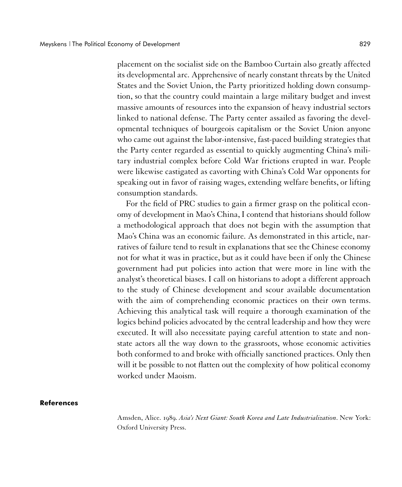placement on the socialist side on the Bamboo Curtain also greatly affected its developmental arc. Apprehensive of nearly constant threats by the United States and the Soviet Union, the Party prioritized holding down consumption, so that the country could maintain a large military budget and invest massive amounts of resources into the expansion of heavy industrial sectors linked to national defense. The Party center assailed as favoring the developmental techniques of bourgeois capitalism or the Soviet Union anyone who came out against the labor-intensive, fast-paced building strategies that the Party center regarded as essential to quickly augmenting China's military industrial complex before Cold War frictions erupted in war. People were likewise castigated as cavorting with China's Cold War opponents for speaking out in favor of raising wages, extending welfare benefits, or lifting consumption standards.

For the field of PRC studies to gain a firmer grasp on the political economy of development in Mao's China, I contend that historians should follow a methodological approach that does not begin with the assumption that Mao's China was an economic failure. As demonstrated in this article, narratives of failure tend to result in explanations that see the Chinese economy not for what it was in practice, but as it could have been if only the Chinese government had put policies into action that were more in line with the analyst's theoretical biases. I call on historians to adopt a different approach to the study of Chinese development and scour available documentation with the aim of comprehending economic practices on their own terms. Achieving this analytical task will require a thorough examination of the logics behind policies advocated by the central leadership and how they were executed. It will also necessitate paying careful attention to state and nonstate actors all the way down to the grassroots, whose economic activities both conformed to and broke with officially sanctioned practices. Only then will it be possible to not flatten out the complexity of how political economy worked under Maoism.

## **References**

Amsden, Alice. 1989. *Asia's Next Giant: South Korea and Late Industrialization*. New York: Oxford University Press.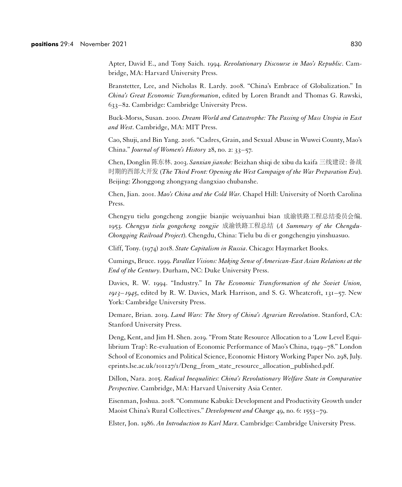Apter, David E., and Tony Saich. 1994. *Revolutionary Discourse in Mao's Republic*. Cambridge, MA: Harvard University Press.

Branstetter, Lee, and Nicholas R. Lardy. 2008. "China's Embrace of Globalization." In *China's Great Economic Transformation*, edited by Loren Brandt and Thomas G. Rawski, 633–82. Cambridge: Cambridge University Press.

Buck-Morss, Susan. 2000. *Dream World and Catastrophe: The Passing of Mass Utopia in East and West*. Cambridge, MA: MIT Press.

Cao, Shuji, and Bin Yang. 2016. "Cadres, Grain, and Sexual Abuse in Wuwei County, Mao's China." *Journal of Women's History* 28, no. 2: 33–57.

Chen, Donglin 陈东林. 2003. *Sanxian jianshe:* Beizhan shiqi de xibu da kaifa 三线建设:备战 时期的西部大开发 (*The Third Front: Opening the West Campaign of the War Preparation Era*). Beijing: Zhonggong zhongyang dangxiao chubanshe.

Chen, Jian. 2001. *Mao's China and the Cold War*. Chapel Hill: University of North Carolina Press.

Chengyu tielu gongcheng zongjie bianjie weiyuanhui bian 成渝铁路工程总结委员会编. 1953. *Chengyu tielu gongcheng zongjie* 成渝铁路工程总结 (*A Summary of the Chengdu-Chongqing Railroad Project*). Chengdu, China: Tielu bu di er gongchengju yinshuasuo.

Cliff, Tony. (1974) 2018. *State Capitalism in Russia*. Chicago: Haymarket Books.

Cumings, Bruce. 1999. *Parallax Visions: Making Sense of American-East Asian Relations at the End of the Century*. Durham, NC: Duke University Press.

Davies, R. W. 1994. "Industry." In *The Economic Transformation of the Soviet Union, 1913–1945*, edited by R. W. Davies, Mark Harrison, and S. G. Wheatcroft, 131–57. New York: Cambridge University Press.

Demare, Brian. 2019. *Land Wars: The Story of China's Agrarian Revolution*. Stanford, CA: Stanford University Press.

Deng, Kent, and Jim H. Shen. 2019. "From State Resource Allocation to a 'Low Level Equilibrium Trap': Re-evaluation of Economic Performance of Mao's China, 1949–78." London School of Economics and Political Science, Economic History Working Paper No. 298, July. eprints.lse.ac.uk/101127/1/Deng\_from\_state\_resource\_allocation\_published.pdf.

Dillon, Nara. 2015. *Radical Inequalities: China's Revolutionary Welfare State in Comparative Perspective*. Cambridge, MA: Harvard University Asia Center.

Eisenman, Joshua. 2018. "Commune Kabuki: Development and Productivity Growth under Maoist China's Rural Collectives." *Development and Change* 49, no. 6: 1553–79.

Elster, Jon. 1986. *An Introduction to Karl Marx*. Cambridge: Cambridge University Press.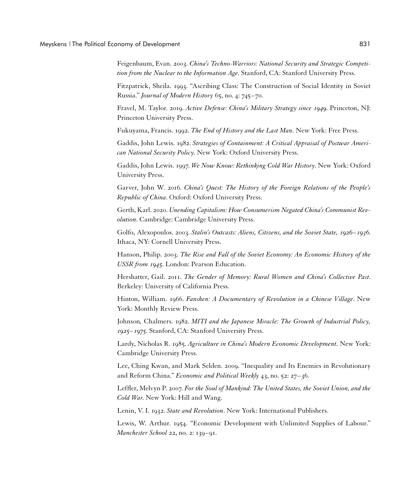Feigenbaum, Evan. 2003. *China's Techno-Warriors: National Security and Strategic Competition from the Nuclear to the Information Age*. Stanford, CA: Stanford University Press.

Fitzpatrick, Sheila. 1993. "Ascribing Class: The Construction of Social Identity in Soviet Russia." *Journal of Modern History* 65, no. 4: 745–70.

Fravel, M. Taylor. 2019. *Active Defense: China's Military Strategy since 1949*. Princeton, NJ: Princeton University Press.

Fukuyama, Francis. 1992. *The End of History and the Last Man.* New York: Free Press.

Gaddis, John Lewis. 1982. *Strategies of Containment: A Critical Appraisal of Postwar American National Security Policy*. New York: Oxford University Press.

Gaddis, John Lewis. 1997. *We Now Know: Rethinking Cold War History*. New York: Oxford University Press.

Garver, John W. 2016. *China's Quest: The History of the Foreign Relations of the People's Republic of China*. Oxford: Oxford University Press.

Gerth, Karl. 2020. *Unending Capitalism: How Consumerism Negated China's Communist Revolution*. Cambridge: Cambridge University Press.

Golfo, Alexopoulos. 2003. *Stalin's Outcasts: Aliens, Citizens, and the Soviet State, 1926–1936*. Ithaca, NY: Cornell University Press.

Hanson, Philip. 2003. *The Rise and Fall of the Soviet Economy: An Economic History of the USSR from 1945*. London: Pearson Education.

Hershatter, Gail. 2011. *The Gender of Memory: Rural Women and China's Collective Past*. Berkeley: University of California Press.

Hinton, William. 1966. *Fanshen: A Documentary of Revolution in a Chinese Village*. New York: Monthly Review Press.

Johnson*,* Chalmers. 1982. *MITI and the Japanese Miracle: The Growth of Industrial Policy, 1925–1975*. Stanford, CA: Stanford University Press.

Lardy, Nicholas R. 1985. *Agriculture in China's Modern Economic Development*. New York: Cambridge University Press.

Lee, Ching Kwan, and Mark Selden. 2009. "Inequality and Its Enemies in Revolutionary and Reform China." *Economic and Political Weekly* 43, no. 52: 27–36.

Leffler, Melvyn P. 2007. *For the Soul of Mankind: The United States, the Soviet Union, and the Cold War*. New York: Hill and Wang.

Lenin, V. I. 1932. *State and Revolution*. New York: International Publishers.

Lewis, W. Arthur. 1954. "Economic Development with Unlimited Supplies of Labour." *Manchester School* 22, no. 2: 139–91.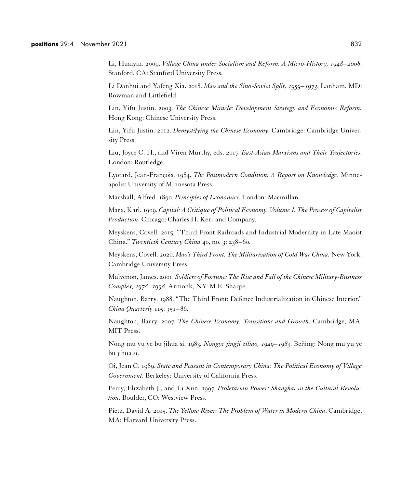Li, Huaiyin. 2009. *Village China under Socialism and Reform: A Micro‐History, 1948–2008*. Stanford, CA: Stanford University Press.

Li Danhui and Yafeng Xia. 2018. *Mao and the Sino-Soviet Split, 1959–1973*. Lanham, MD: Rowman and Littlefield.

Lin, Yifu Justin. 2003. *The Chinese Miracle: Development Strategy and Economic Reform.* Hong Kong: Chinese University Press.

Lin, Yifu Justin. 2012. *Demystifying the Chinese Economy*. Cambridge: Cambridge University Press.

Liu, Joyce C. H., and Viren Murthy, eds. 2017. *East-Asian Marxisms and Their Trajectories*. London: Routledge.

Lyotard, Jean-François. 1984. *The Postmodern Condition: A Report on Knowledge*. Minneapolis: University of Minnesota Press.

Marshall, Alfred. 1890. *Principles of Economics*. London: Macmillan.

Marx, Karl. 1909. *Capital: A Critique of Political Economy. Volume I: The Process of Capitalist Production*. Chicago: Charles H. Kerr and Company.

Meyskens, Covell. 2015. "Third Front Railroads and Industrial Modernity in Late Maoist China." *Twentieth Century China* 40, no. 3: 238–60.

Meyskens, Covell. 2020. *Mao's Third Front: The Militarization of Cold War China.* New York: Cambridge University Press.

Mulvenon, James. 2001. *Soldiers of Fortune: The Rise and Fall of the Chinese Military-Business Complex, 1978–1998*. Armonk, NY: M.E. Sharpe.

Naughton, Barry. 1988. "The Third Front: Defence Industrialization in Chinese Interior." *China Quarterly* 115: 351–86.

Naughton, Barry. 2007. *The Chinese Economy: Transitions and Growth*. Cambridge, MA: MIT Press.

Nong mu yu ye bu jihua si. 1983*. Nongye jingji ziliao, 1949–1983*. Beijing: Nong mu yu ye bu jihua si.

Oi, Jean C. 1989. *State and Peasant in Contemporary China: The Political Economy of Village Government*. Berkeley: University of California Press.

Perry, Elizabeth J., and Li Xun. 1997. *Proletarian Power: Shanghai in the Cultural Revolution*. Boulder, CO: Westview Press.

Pietz, David A. 2015. *The Yellow River: The Problem of Water in Modern China*. Cambridge, MA: Harvard University Press.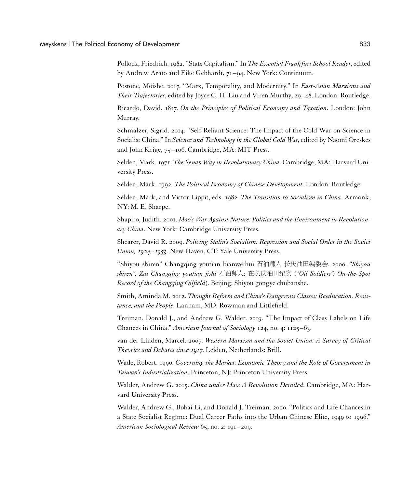Pollock, Friedrich. 1982. "State Capitalism." In *The Essential Frank furt School Reader*, edited by Andrew Arato and Eike Gebhardt, 71–94. New York: Continuum.

Postone, Moishe. 2017. "Marx, Temporality, and Modernity." In *East-Asian Marxisms and Their Trajectories*, edited by Joyce C. H. Liu and Viren Murthy, 29–48. London: Routledge.

Ricardo, David. 1817. *On the Principles of Political Economy and Taxation*. London: John Murray.

Schmalzer, Sigrid. 2014. "Self-Reliant Science: The Impact of the Cold War on Science in Socialist China." In *Science and Technology in the Global Cold War*, edited by Naomi Oreskes and John Krige, 75–106. Cambridge, MA: MIT Press.

Selden, Mark. 1971. *The Yenan Way in Revolutionary China*. Cambridge, MA: Harvard University Press.

Selden, Mark. 1992. *The Political Economy of Chinese Development*. London: Routledge.

Selden, Mark, and Victor Lippit, eds. 1982. *The Transition to Socialism in China*. Armonk, NY: M. E. Sharpe.

Shapiro, Judith. 2001. *Mao's War Against Nature: Politics and the Environment in Revolutionary China*. New York: Cambridge University Press.

Shearer, David R. 2009. *Policing Stalin's Socialism: Repression and Social Order in the Soviet Union, 1924–1953*. New Haven, CT: Yale University Press.

"Shiyou shiren" Changqing youtian bianweihui 石油师人 长庆油田编委会. 2000. "*Shiyou shiren": Zai Changqing youtian jishi* 石油师人: 在长庆油田纪实 ("*Oil Soldiers": On-the-Spot Record of the Changqing Oilfield*). Beijing: Shiyou gongye chubanshe.

Smith, Aminda M. 2012. *Thought Reform and China's Dangerous Classes: Reeducation, Resistance, and the People*. Lanham, MD: Rowman and Littlefield.

Treiman, Donald J., and Andrew G. Walder. 2019. "The Impact of Class Labels on Life Chances in China." *American Journal of Sociology* 124, no. 4: 1125–63.

van der Linden, Marcel. 2007. *Western Marxism and the Soviet Union: A Survey of Critical Theories and Debates since 1917*. Leiden, Netherlands: Brill.

Wade, Robert. 1990. *Governing the Market: Economic Theory and the Role of Government in Taiwan's Industrialization*. Princeton, NJ: Princeton University Press.

Walder, Andrew G. 2015. *China under Mao: A Revolution Derailed*. Cambridge, MA: Harvard University Press.

Walder, Andrew G., Bobai Li, and Donald J. Treiman. 2000. "Politics and Life Chances in a State Socialist Regime: Dual Career Paths into the Urban Chinese Elite, 1949 to 1996." *American Sociological Review* 65, no. 2: 191–209.